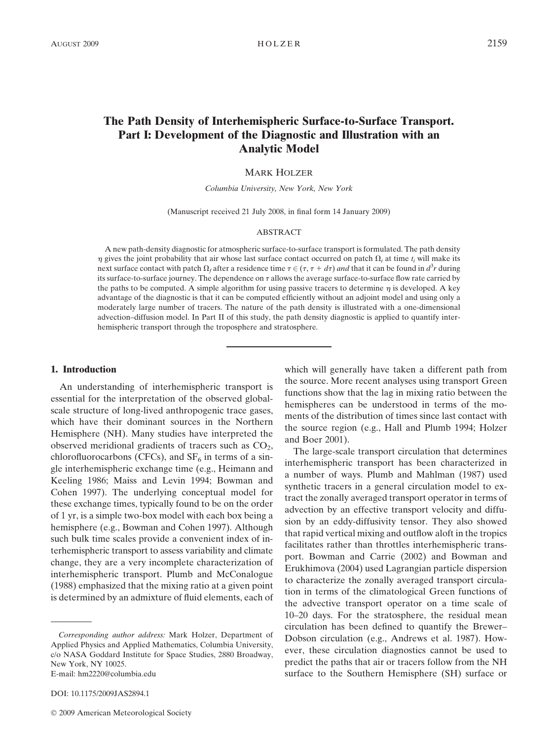# The Path Density of Interhemispheric Surface-to-Surface Transport. Part I: Development of the Diagnostic and Illustration with an Analytic Model

#### MARK HOLZER

Columbia University, New York, New York

(Manuscript received 21 July 2008, in final form 14 January 2009)

#### ABSTRACT

A new path-density diagnostic for atmospheric surface-to-surface transport is formulated. The path density  $\eta$  gives the joint probability that air whose last surface contact occurred on patch  $\Omega_i$  at time t<sub>i</sub> will make its next surface contact with patch  $\Omega_f$  after a residence time  $\tau \in (\tau, \tau + d\tau)$  and that it can be found in  $d^3r$  during its surface-to-surface journey. The dependence on  $\tau$  allows the average surface-to-surface flow rate carried by the paths to be computed. A simple algorithm for using passive tracers to determine  $\eta$  is developed. A key advantage of the diagnostic is that it can be computed efficiently without an adjoint model and using only a moderately large number of tracers. The nature of the path density is illustrated with a one-dimensional advection–diffusion model. In Part II of this study, the path density diagnostic is applied to quantify interhemispheric transport through the troposphere and stratosphere.

#### 1. Introduction

An understanding of interhemispheric transport is essential for the interpretation of the observed globalscale structure of long-lived anthropogenic trace gases, which have their dominant sources in the Northern Hemisphere (NH). Many studies have interpreted the observed meridional gradients of tracers such as  $CO<sub>2</sub>$ , chlorofluorocarbons (CFCs), and  $SF_6$  in terms of a single interhemispheric exchange time (e.g., Heimann and Keeling 1986; Maiss and Levin 1994; Bowman and Cohen 1997). The underlying conceptual model for these exchange times, typically found to be on the order of 1 yr, is a simple two-box model with each box being a hemisphere (e.g., Bowman and Cohen 1997). Although such bulk time scales provide a convenient index of interhemispheric transport to assess variability and climate change, they are a very incomplete characterization of interhemispheric transport. Plumb and McConalogue (1988) emphasized that the mixing ratio at a given point is determined by an admixture of fluid elements, each of

DOI: 10.1175/2009JAS2894.1

which will generally have taken a different path from the source. More recent analyses using transport Green functions show that the lag in mixing ratio between the hemispheres can be understood in terms of the moments of the distribution of times since last contact with the source region (e.g., Hall and Plumb 1994; Holzer and Boer 2001).

The large-scale transport circulation that determines interhemispheric transport has been characterized in a number of ways. Plumb and Mahlman (1987) used synthetic tracers in a general circulation model to extract the zonally averaged transport operator in terms of advection by an effective transport velocity and diffusion by an eddy-diffusivity tensor. They also showed that rapid vertical mixing and outflow aloft in the tropics facilitates rather than throttles interhemispheric transport. Bowman and Carrie (2002) and Bowman and Erukhimova (2004) used Lagrangian particle dispersion to characterize the zonally averaged transport circulation in terms of the climatological Green functions of the advective transport operator on a time scale of 10–20 days. For the stratosphere, the residual mean circulation has been defined to quantify the Brewer– Dobson circulation (e.g., Andrews et al. 1987). However, these circulation diagnostics cannot be used to predict the paths that air or tracers follow from the NH surface to the Southern Hemisphere (SH) surface or

Corresponding author address: Mark Holzer, Department of Applied Physics and Applied Mathematics, Columbia University, c/o NASA Goddard Institute for Space Studies, 2880 Broadway, New York, NY 10025. E-mail: hm2220@columbia.edu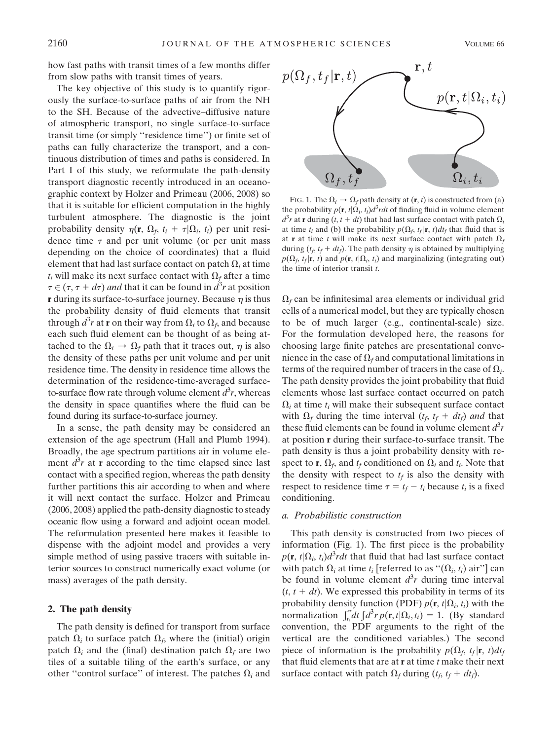how fast paths with transit times of a few months differ from slow paths with transit times of years.

The key objective of this study is to quantify rigorously the surface-to-surface paths of air from the NH to the SH. Because of the advective–diffusive nature of atmospheric transport, no single surface-to-surface transit time (or simply ''residence time'') or finite set of paths can fully characterize the transport, and a continuous distribution of times and paths is considered. In Part I of this study, we reformulate the path-density transport diagnostic recently introduced in an oceanographic context by Holzer and Primeau (2006, 2008) so that it is suitable for efficient computation in the highly turbulent atmosphere. The diagnostic is the joint probability density  $\eta(\mathbf{r}, \Omega_f, t_i + \tau|\Omega_i, t_i)$  per unit residence time  $\tau$  and per unit volume (or per unit mass depending on the choice of coordinates) that a fluid element that had last surface contact on patch  $\Omega_i$  at time  $t_i$  will make its next surface contact with  $\Omega_f$  after a time  $\tau \in (\tau, \tau + d\tau)$  and that it can be found in  $d^3r$  at position **r** during its surface-to-surface journey. Because  $\eta$  is thus the probability density of fluid elements that transit through  $d^3r$  at **r** on their way from  $\Omega_i$  to  $\Omega_f$ , and because each such fluid element can be thought of as being attached to the  $\Omega_i \rightarrow \Omega_f$  path that it traces out,  $\eta$  is also the density of these paths per unit volume and per unit residence time. The density in residence time allows the determination of the residence-time-averaged surfaceto-surface flow rate through volume element  $d^3r$ , whereas the density in space quantifies where the fluid can be found during its surface-to-surface journey.

In a sense, the path density may be considered an extension of the age spectrum (Hall and Plumb 1994). Broadly, the age spectrum partitions air in volume element  $d^3r$  at **r** according to the time elapsed since last contact with a specified region, whereas the path density further partitions this air according to when and where it will next contact the surface. Holzer and Primeau (2006, 2008) applied the path-density diagnostic to steady oceanic flow using a forward and adjoint ocean model. The reformulation presented here makes it feasible to dispense with the adjoint model and provides a very simple method of using passive tracers with suitable interior sources to construct numerically exact volume (or mass) averages of the path density.

## 2. The path density

The path density is defined for transport from surface patch  $\Omega_i$  to surface patch  $\Omega_f$ , where the (initial) origin patch  $\Omega_i$  and the (final) destination patch  $\Omega_f$  are two tiles of a suitable tiling of the earth's surface, or any other "control surface" of interest. The patches  $\Omega_i$  and



FIG. 1. The  $\Omega_i \to \Omega_f$  path density at  $(\mathbf{r}, t)$  is constructed from (a) the probability  $p(\mathbf{r}, t | \Omega_i, t_i) d^3 r dt$  of finding fluid in volume element  $d^3r$  at **r** during  $(t, t + dt)$  that had last surface contact with patch  $\Omega_i$ at time  $t_i$  and (b) the probability  $p(\Omega_f, t_f | \mathbf{r}, t) dt_f$  that fluid that is at **r** at time t will make its next surface contact with patch  $\Omega_f$ during  $(t_f, t_f + dt_f)$ . The path density  $\eta$  is obtained by multiplying  $p(\Omega_f, t_f | \mathbf{r}, t)$  and  $p(\mathbf{r}, t | \Omega_i, t_i)$  and marginalizing (integrating out) the time of interior transit  $t$ .

 $\Omega_f$  can be infinitesimal area elements or individual grid cells of a numerical model, but they are typically chosen to be of much larger (e.g., continental-scale) size. For the formulation developed here, the reasons for choosing large finite patches are presentational convenience in the case of  $\Omega_f$  and computational limitations in terms of the required number of tracers in the case of  $\Omega_i$ . The path density provides the joint probability that fluid elements whose last surface contact occurred on patch  $\Omega_i$  at time  $t_i$  will make their subsequent surface contact with  $\Omega_f$  during the time interval  $(t_f, t_f + dt_f)$  and that these fluid elements can be found in volume element  $d^3r$ at position r during their surface-to-surface transit. The path density is thus a joint probability density with respect to **r**,  $\Omega_f$ , and  $t_f$  conditioned on  $\Omega_i$  and  $t_i$ . Note that the density with respect to  $t_f$  is also the density with respect to residence time  $\tau = t_f - t_i$  because  $t_i$  is a fixed conditioning.

## a. Probabilistic construction

This path density is constructed from two pieces of information (Fig. 1). The first piece is the probability  $p(\mathbf{r}, t | \Omega_i, t_i) d^3 r dt$  that fluid that had last surface contact with patch  $\Omega_i$  at time  $t_i$  [referred to as " $(\Omega_i, t_i)$  air"] can be found in volume element  $d^3r$  during time interval  $(t, t + dt)$ . We expressed this probability in terms of its probability density function (PDF)  $p(\mathbf{r}, t | \Omega_i, t_i)$  with the normalization  $\int_{t_i}^{\infty} dt \int d^3r p(\mathbf{r}, t | \Omega_i, t_i) = 1$ . (By standard convention, the PDF arguments to the right of the vertical are the conditioned variables.) The second piece of information is the probability  $p(\Omega_f, t_f | \mathbf{r}, t) dt_f$ that fluid elements that are at  $\mathbf r$  at time  $t$  make their next surface contact with patch  $\Omega_f$  during  $(t_f, t_f + dt_f)$ .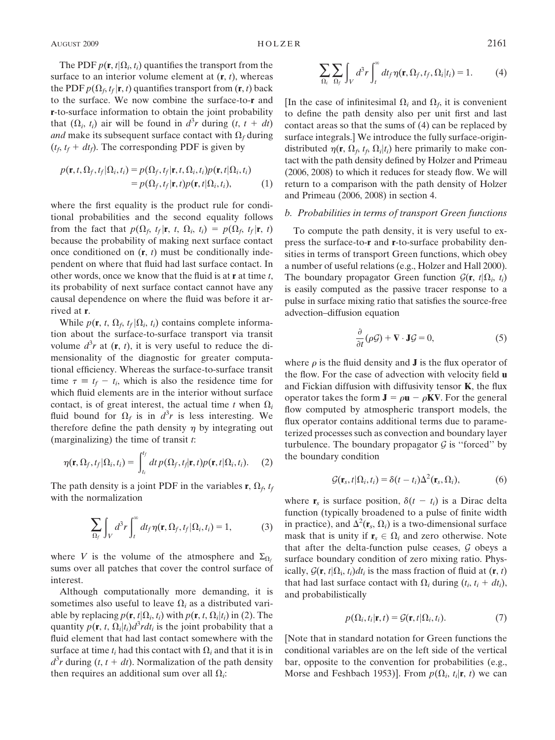The PDF  $p(\mathbf{r}, t | \Omega_i, t_i)$  quantifies the transport from the surface to an interior volume element at  $(r, t)$ , whereas the PDF  $p(\Omega_f, t_f | \mathbf{r}, t)$  quantifies transport from  $(\mathbf{r}, t)$  back to the surface. We now combine the surface-to-r and r-to-surface information to obtain the joint probability that  $(\Omega_i, t_i)$  air will be found in  $d^3r$  during  $(t, t + dt)$ and make its subsequent surface contact with  $\Omega_f$  during  $(t_f, t_f + dt_f)$ . The corresponding PDF is given by

$$
p(\mathbf{r}, t, \Omega_f, t_f | \Omega_i, t_i) = p(\Omega_f, t_f | \mathbf{r}, t, \Omega_i, t_i) p(\mathbf{r}, t | \Omega_i, t_i) = p(\Omega_f, t_f | \mathbf{r}, t) p(\mathbf{r}, t | \Omega_i, t_i),
$$
 (1)

where the first equality is the product rule for conditional probabilities and the second equality follows from the fact that  $p(\Omega_f, t_f | \mathbf{r}, t, \Omega_i, t_i) = p(\Omega_f, t_f | \mathbf{r}, t)$ because the probability of making next surface contact once conditioned on  $(r, t)$  must be conditionally independent on where that fluid had last surface contact. In other words, once we know that the fluid is at  $\bf{r}$  at time t, its probability of next surface contact cannot have any causal dependence on where the fluid was before it arrived at r.

While  $p(\mathbf{r}, t, \Omega_f, t_f | \Omega_i, t_i)$  contains complete information about the surface-to-surface transport via transit volume  $d^3r$  at  $(\mathbf{r}, t)$ , it is very useful to reduce the dimensionality of the diagnostic for greater computational efficiency. Whereas the surface-to-surface transit time  $\tau \equiv t_f - t_i$ , which is also the residence time for which fluid elements are in the interior without surface contact, is of great interest, the actual time t when  $\Omega_i$ fluid bound for  $\Omega_f$  is in  $d^3r$  is less interesting. We therefore define the path density  $\eta$  by integrating out (marginalizing) the time of transit  $t$ :

$$
\eta(\mathbf{r}, \Omega_f, t_f | \Omega_i, t_i) = \int_{t_i}^{t_f} dt \, p(\Omega_f, t_f | \mathbf{r}, t) p(\mathbf{r}, t | \Omega_i, t_i).
$$
 (2)

The path density is a joint PDF in the variables **r**,  $\Omega_f$ ,  $t_f$ with the normalization

$$
\sum_{\Omega_f} \int_V d^3r \int_t^{\infty} dt_f \eta(\mathbf{r}, \Omega_f, t_f | \Omega_i, t_i) = 1,
$$
 (3)

where V is the volume of the atmosphere and  $\Sigma_{\Omega_i}$ sums over all patches that cover the control surface of interest.

Although computationally more demanding, it is sometimes also useful to leave  $\Omega_i$  as a distributed variable by replacing  $p(\mathbf{r}, t | \Omega_i, t_i)$  with  $p(\mathbf{r}, t, \Omega_i | t_i)$  in (2). The quantity  $p(\mathbf{r}, t, \Omega_i | t_i) d^3 r dt_i$  is the joint probability that a fluid element that had last contact somewhere with the surface at time  $t_i$  had this contact with  $\Omega_i$  and that it is in  $d^3r$  during  $(t, t + dt)$ . Normalization of the path density then requires an additional sum over all  $\Omega_i$ :

$$
\sum_{\Omega_i} \sum_{\Omega_f} \int_V d^3r \int_t^{\infty} dt_f \eta(\mathbf{r}, \Omega_f, t_f, \Omega_i | t_i) = 1.
$$
 (4)

[In the case of infinitesimal  $\Omega_i$  and  $\Omega_f$ , it is convenient to define the path density also per unit first and last contact areas so that the sums of (4) can be replaced by surface integrals.] We introduce the fully surface-origindistributed  $\eta(\mathbf{r}, \Omega_f, t_f, \Omega_i|t_i)$  here primarily to make contact with the path density defined by Holzer and Primeau (2006, 2008) to which it reduces for steady flow. We will return to a comparison with the path density of Holzer and Primeau (2006, 2008) in section 4.

## b. Probabilities in terms of transport Green functions

To compute the path density, it is very useful to express the surface-to-r and r-to-surface probability densities in terms of transport Green functions, which obey a number of useful relations (e.g., Holzer and Hall 2000). The boundary propagator Green function  $G(\mathbf{r}, t | \Omega_i, t_i)$ is easily computed as the passive tracer response to a pulse in surface mixing ratio that satisfies the source-free advection–diffusion equation

$$
\frac{\partial}{\partial t}(\rho \mathcal{G}) + \nabla \cdot \mathbf{J}\mathcal{G} = 0, \tag{5}
$$

where  $\rho$  is the fluid density and **J** is the flux operator of the flow. For the case of advection with velocity field **u** and Fickian diffusion with diffusivity tensor  $K$ , the flux operator takes the form  $\mathbf{J} = \rho \mathbf{u} - \rho \mathbf{K} \nabla$ . For the general flow computed by atmospheric transport models, the flux operator contains additional terms due to parameterized processes such as convection and boundary layer turbulence. The boundary propagator  $G$  is "forced" by the boundary condition

$$
\mathcal{G}(\mathbf{r}_s, t | \Omega_i, t_i) = \delta(t - t_i) \Delta^2(\mathbf{r}_s, \Omega_i), \tag{6}
$$

where  $\mathbf{r}_s$  is surface position,  $\delta(t - t_i)$  is a Dirac delta function (typically broadened to a pulse of finite width in practice), and  $\Delta^2(\mathbf{r}_s, \Omega_i)$  is a two-dimensional surface mask that is unity if  $\mathbf{r}_s \in \Omega_i$  and zero otherwise. Note that after the delta-function pulse ceases,  $G$  obeys a surface boundary condition of zero mixing ratio. Physically,  $\mathcal{G}(\mathbf{r}, t | \Omega_i, t_i) dt_i$  is the mass fraction of fluid at  $(\mathbf{r}, t)$ that had last surface contact with  $\Omega_i$  during  $(t_i, t_i + dt_i)$ , and probabilistically

$$
p(\Omega_i, t_i | \mathbf{r}, t) = \mathcal{G}(\mathbf{r}, t | \Omega_i, t_i).
$$
 (7)

[Note that in standard notation for Green functions the conditional variables are on the left side of the vertical bar, opposite to the convention for probabilities (e.g., Morse and Feshbach 1953)]. From  $p(\Omega_i, t_i | \mathbf{r}, t)$  we can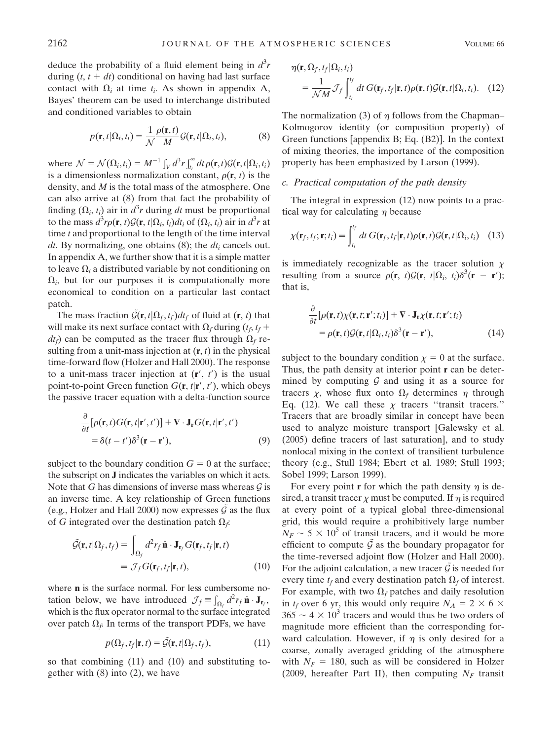deduce the probability of a fluid element being in  $d^3r$ during  $(t, t + dt)$  conditional on having had last surface contact with  $\Omega_i$  at time  $t_i$ . As shown in appendix A, Bayes' theorem can be used to interchange distributed and conditioned variables to obtain

$$
p(\mathbf{r}, t | \Omega_i, t_i) = \frac{1}{\mathcal{N}} \frac{\rho(\mathbf{r}, t)}{M} \mathcal{G}(\mathbf{r}, t | \Omega_i, t_i),
$$
 (8)

where  $\mathcal{N} = \mathcal{N}(\Omega_i, t_i) = M^{-1} \int_V d^3r \int_{t_i}^{\infty} dt \rho(\mathbf{r}, t) \mathcal{G}(\mathbf{r}, t | \Omega_i, t_i)$ is a dimensionless normalization constant,  $\rho(\mathbf{r}, t)$  is the density, and M is the total mass of the atmosphere. One can also arrive at (8) from that fact the probability of finding  $(\Omega_i, t_i)$  air in  $d^3r$  during dt must be proportional to the mass  $d^3r \rho(\mathbf{r}, t) \mathcal{G}(\mathbf{r}, t | \Omega_i, t_i) dt_i$  of  $(\Omega_i, t_i)$  air in  $d^3r$  at time  $t$  and proportional to the length of the time interval dt. By normalizing, one obtains  $(8)$ ; the  $dt_i$  cancels out. In appendix A, we further show that it is a simple matter to leave  $\Omega_i$  a distributed variable by not conditioning on  $\Omega_i$ , but for our purposes it is computationally more economical to condition on a particular last contact patch.

The mass fraction  $G(r, t|\Omega_f, t_f)dt_f$  of fluid at  $(r, t)$  that will make its next surface contact with  $\Omega_f$  during  $(t_f, t_f +$  $dt_f$ ) can be computed as the tracer flux through  $\Omega_f$  resulting from a unit-mass injection at  $(r, t)$  in the physical time-forward flow (Holzer and Hall 2000). The response to a unit-mass tracer injection at  $(r, t')$  is the usual point-to-point Green function  $G(\mathbf{r}, t | \mathbf{r}', t')$ , which obeys the passive tracer equation with a delta-function source

$$
\frac{\partial}{\partial t}[\rho(\mathbf{r},t)G(\mathbf{r},t|\mathbf{r}',t')] + \nabla \cdot \mathbf{J}_{\mathbf{r}}G(\mathbf{r},t|\mathbf{r}',t')\n= \delta(t-t')\delta^3(\mathbf{r}-\mathbf{r}'),
$$
\n(9)

subject to the boundary condition  $G = 0$  at the surface; the subscript on J indicates the variables on which it acts. Note that G has dimensions of inverse mass whereas  $\mathcal G$  is an inverse time. A key relationship of Green functions (e.g., Holzer and Hall 2000) now expresses  $G$  as the flux of G integrated over the destination patch  $\Omega_f$ :

$$
\tilde{\mathcal{G}}(\mathbf{r}, t | \Omega_f, t_f) = \int_{\Omega_f} d^2 r_f \,\hat{\mathbf{n}} \cdot \mathbf{J}_{\mathbf{r}_f} G(\mathbf{r}_f, t_f | \mathbf{r}, t) \n\equiv \mathcal{J}_f G(\mathbf{r}_f, t_f | \mathbf{r}, t),
$$
\n(10)

where **n** is the surface normal. For less cumbersome notation below, we have introduced  $\mathcal{J}_f = \int_{\Omega_f} d^2 r_f \hat{\mathbf{n}} \cdot \mathbf{J}_{\mathbf{r}_f}$ , which is the flux operator normal to the surface integrated over patch  $\Omega_f$ . In terms of the transport PDFs, we have

$$
p(\Omega_f, t_f | \mathbf{r}, t) = \tilde{\mathcal{G}}(\mathbf{r}, t | \Omega_f, t_f),
$$
\n(11)

so that combining (11) and (10) and substituting together with (8) into (2), we have

$$
\eta(\mathbf{r}, \Omega_f, t_f | \Omega_i, t_i)
$$
  
= 
$$
\frac{1}{\mathcal{N}M} \mathcal{J}_f \int_{t_i}^{t_f} dt \, G(\mathbf{r}_f, t_f | \mathbf{r}, t) \rho(\mathbf{r}, t) \mathcal{G}(\mathbf{r}, t | \Omega_i, t_i).
$$
 (12)

The normalization (3) of  $\eta$  follows from the Chapman– Kolmogorov identity (or composition property) of Green functions [appendix B; Eq. (B2)]. In the context of mixing theories, the importance of the composition property has been emphasized by Larson (1999).

## c. Practical computation of the path density

The integral in expression (12) now points to a practical way for calculating  $\eta$  because

$$
\chi(\mathbf{r}_f, t_f; \mathbf{r}; t_i) \equiv \int_{t_i}^{t_f} dt \, G(\mathbf{r}_f, t_f | \mathbf{r}, t) \rho(\mathbf{r}, t) \mathcal{G}(\mathbf{r}, t | \Omega_i, t_i) \quad (13)
$$

is immediately recognizable as the tracer solution  $\chi$ resulting from a source  $\rho(\mathbf{r}, t) \mathcal{G}(\mathbf{r}, t | \Omega_i, t_i) \delta^3(\mathbf{r} - \mathbf{r}');$ that is,

$$
\frac{\partial}{\partial t} [\rho(\mathbf{r}, t) \chi(\mathbf{r}, t; \mathbf{r}'; t_i)] + \nabla \cdot \mathbf{J}_\mathbf{r} \chi(\mathbf{r}, t; \mathbf{r}'; t_i) \n= \rho(\mathbf{r}, t) \mathcal{G}(\mathbf{r}, t | \Omega_i, t_i) \delta^3(\mathbf{r} - \mathbf{r}'),
$$
\n(14)

subject to the boundary condition  $x = 0$  at the surface. Thus, the path density at interior point  $\mathbf r$  can be determined by computing  $G$  and using it as a source for tracers  $\chi$ , whose flux onto  $\Omega_f$  determines  $\eta$  through Eq. (12). We call these  $\chi$  tracers "transit tracers." Tracers that are broadly similar in concept have been used to analyze moisture transport [Galewsky et al. (2005) define tracers of last saturation], and to study nonlocal mixing in the context of transilient turbulence theory (e.g., Stull 1984; Ebert et al. 1989; Stull 1993; Sobel 1999; Larson 1999).

For every point **r** for which the path density  $\eta$  is desired, a transit tracer  $\chi$  must be computed. If  $\eta$  is required at every point of a typical global three-dimensional grid, this would require a prohibitively large number  $N_F \sim 5 \times 10^5$  of transit tracers, and it would be more efficient to compute  $\tilde{G}$  as the boundary propagator for the time-reversed adjoint flow (Holzer and Hall 2000). For the adjoint calculation, a new tracer  $\mathcal G$  is needed for every time  $t_f$  and every destination patch  $\Omega_f$  of interest. For example, with two  $\Omega_f$  patches and daily resolution in  $t_f$  over 6 yr, this would only require  $N_A = 2 \times 6 \times$  $365 \sim 4 \times 10^3$  tracers and would thus be two orders of magnitude more efficient than the corresponding forward calculation. However, if  $\eta$  is only desired for a coarse, zonally averaged gridding of the atmosphere with  $N_F = 180$ , such as will be considered in Holzer (2009, hereafter Part II), then computing  $N_F$  transit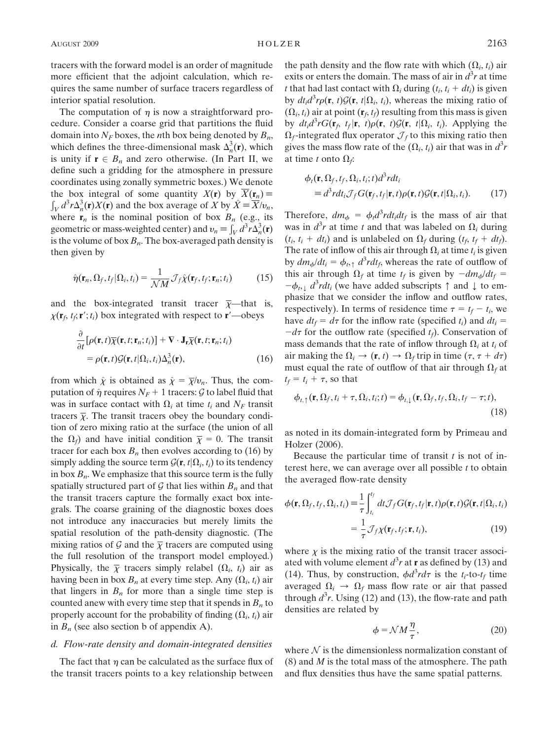tracers with the forward model is an order of magnitude more efficient that the adjoint calculation, which requires the same number of surface tracers regardless of interior spatial resolution.

The computation of  $\eta$  is now a straightforward procedure. Consider a coarse grid that partitions the fluid domain into  $N_F$  boxes, the *n*th box being denoted by  $B_n$ , which defines the three-dimensional mask  $\Delta_n^3(\mathbf{r})$ , which is unity if  $\mathbf{r} \in B_n$  and zero otherwise. (In Part II, we define such a gridding for the atmosphere in pressure coordinates using zonally symmetric boxes.) We denote the box integral of some quantity  $X(\mathbf{r})$  by  $\overline{X}(\mathbf{r}_n) =$  $\sum_{V} d^3 r \Delta_n^3(\mathbf{r}) X(\mathbf{r})$  and the box average of X by  $\hat{X} = \overline{X/v_n}$ , where  $\mathbf{r}_n$  is the nominal position of box  $B_n$  (e.g., its geometric or mass-weighted center) and  $v_n = \int_V d^3 r \Delta_n^3(\mathbf{r})$ is the volume of box  $B_n$ . The box-averaged path density is then given by

$$
\hat{\eta}(\mathbf{r}_n, \Omega_f, t_f | \Omega_i, t_i) = \frac{1}{\mathcal{N}M} \mathcal{J}_f \hat{\chi}(\mathbf{r}_f, t_f; \mathbf{r}_n; t_i)
$$
(15)

and the box-integrated transit tracer  $\bar{x}$ —that is,  $\chi(\mathbf{r}_f, t_f, \mathbf{r}'; t_i)$  box integrated with respect to  $\mathbf{r}'$ —obeys

$$
\frac{\partial}{\partial t} [\rho(\mathbf{r},t)\overline{\chi}(\mathbf{r},t;\mathbf{r}_n;t_i)] + \nabla \cdot \mathbf{J}_\mathbf{r} \overline{\chi}(\mathbf{r},t;\mathbf{r}_n;t_i) \n= \rho(\mathbf{r},t) \mathcal{G}(\mathbf{r},t) \Omega_i, t_i) \Delta_n^3(\mathbf{r}),
$$
\n(16)

from which  $\hat{\chi}$  is obtained as  $\hat{\chi} = \overline{\chi}/v_n$ . Thus, the computation of  $\hat{\eta}$  requires  $N_F + 1$  tracers: G to label fluid that was in surface contact with  $\Omega_i$  at time  $t_i$  and  $N_F$  transit tracers  $\bar{\chi}$ . The transit tracers obey the boundary condition of zero mixing ratio at the surface (the union of all the  $\Omega_f$ ) and have initial condition  $\overline{\chi} = 0$ . The transit tracer for each box  $B_n$  then evolves according to (16) by simply adding the source term  $\mathcal{G}(\mathbf{r}, t|\Omega_i, t_i)$  to its tendency in box  $B_n$ . We emphasize that this source term is the fully spatially structured part of  $G$  that lies within  $B_n$  and that the transit tracers capture the formally exact box integrals. The coarse graining of the diagnostic boxes does not introduce any inaccuracies but merely limits the spatial resolution of the path-density diagnostic. (The mixing ratios of G and the  $\overline{\chi}$  tracers are computed using the full resolution of the transport model employed.) Physically, the  $\overline{\chi}$  tracers simply relabel  $(\Omega_i, t_i)$  air as having been in box  $B_n$  at every time step. Any  $(\Omega_i, t_i)$  air that lingers in  $B_n$  for more than a single time step is counted anew with every time step that it spends in  $B_n$  to properly account for the probability of finding  $(\Omega_i, t_i)$  air in  $B_n$  (see also section b of appendix A).

## d. Flow-rate density and domain-integrated densities

The fact that  $\eta$  can be calculated as the surface flux of the transit tracers points to a key relationship between

the path density and the flow rate with which  $(\Omega_i, t_i)$  air exits or enters the domain. The mass of air in  $d^3r$  at time t that had last contact with  $\Omega_i$  during  $(t_i, t_i + dt_i)$  is given by  $dt_i d^3 r \rho(\mathbf{r}, t) \mathcal{G}(\mathbf{r}, t | \Omega_i, t_i)$ , whereas the mixing ratio of  $(\Omega_i, t_i)$  air at point  $(\mathbf{r}_f, t_f)$  resulting from this mass is given by  $dt_i d^3 r G(\mathbf{r}_f, t_f | \mathbf{r}, t) \rho(\mathbf{r}, t) \mathcal{G}(\mathbf{r}, t | \Omega_i, t_i)$ . Applying the  $\Omega_f$ -integrated flux operator  $\mathcal{J}_f$  to this mixing ratio then gives the mass flow rate of the  $(\Omega_i, t_i)$  air that was in  $d^3r$ at time t onto  $\Omega_f$ :

$$
\phi_t(\mathbf{r}, \Omega_f, t_f, \Omega_i, t_i; t) d^3 r dt_i
$$
  
\n
$$
\equiv d^3 r dt_i \mathcal{J}_f G(\mathbf{r}_f, t_f | \mathbf{r}, t) \rho(\mathbf{r}, t) \mathcal{G}(\mathbf{r}, t | \Omega_i, t_i).
$$
 (17)

Therefore,  $dm_{\phi} = \phi_t d^3 r dt_i dt_f$  is the mass of air that was in  $d^3r$  at time t and that was labeled on  $\Omega_i$  during  $(t_i, t_i + dt_i)$  and is unlabeled on  $\Omega_f$  during  $(t_f, t_f + dt_f)$ . The rate of inflow of this air through  $\Omega_i$  at time  $t_i$  is given by  $dm_{\phi}/dt_i = \phi_{t,\uparrow} d^3r dt_f$ , whereas the rate of outflow of this air through  $\Omega_f$  at time  $t_f$  is given by  $-dm_{\phi}/dt_f =$  $-\phi_{t}, \phi_{t} d^3r dt$  (we have added subscripts  $\uparrow$  and  $\downarrow$  to emphasize that we consider the inflow and outflow rates, respectively). In terms of residence time  $\tau = t_f - t_i$ , we have  $dt_f = d\tau$  for the inflow rate (specified  $t_i$ ) and  $dt_i =$  $-d\tau$  for the outflow rate (specified  $t_f$ ). Conservation of mass demands that the rate of inflow through  $\Omega_i$  at  $t_i$  of air making the  $\Omega_i \to (\mathbf{r}, t) \to \Omega_f$  trip in time  $(\tau, \tau + d\tau)$ must equal the rate of outflow of that air through  $\Omega_f$  at  $t_f = t_i + \tau$ , so that

$$
\phi_{t, \uparrow}(\mathbf{r}, \Omega_f, t_i + \tau, \Omega_i, t_i; t) = \phi_{t, \downarrow}(\mathbf{r}, \Omega_f, t_f, \Omega_i, t_f - \tau; t),
$$
\n(18)

as noted in its domain-integrated form by Primeau and Holzer (2006).

Because the particular time of transit  $t$  is not of interest here, we can average over all possible  $t$  to obtain the averaged flow-rate density

$$
\phi(\mathbf{r}, \Omega_f, t_f, \Omega_i, t_i) \equiv \frac{1}{\tau} \int_{t_i}^{t_f} dt \mathcal{J}_f G(\mathbf{r}_f, t_f | \mathbf{r}, t) \rho(\mathbf{r}, t) \mathcal{G}(\mathbf{r}, t | \Omega_i, t_i)
$$

$$
= \frac{1}{\tau} \mathcal{J}_f \chi(\mathbf{r}_f, t_f; \mathbf{r}, t_i), \tag{19}
$$

where  $\chi$  is the mixing ratio of the transit tracer associated with volume element  $d^3r$  at **r** as defined by (13) and (14). Thus, by construction,  $\phi d^3 r d\tau$  is the  $t_i$ -to- $t_f$  time averaged  $\Omega_i \rightarrow \Omega_f$  mass flow rate or air that passed through  $d^3r$ . Using (12) and (13), the flow-rate and path densities are related by

$$
\phi = \mathcal{N}M\frac{\eta}{\tau},\tag{20}
$$

where  $N$  is the dimensionless normalization constant of  $(8)$  and *M* is the total mass of the atmosphere. The path and flux densities thus have the same spatial patterns.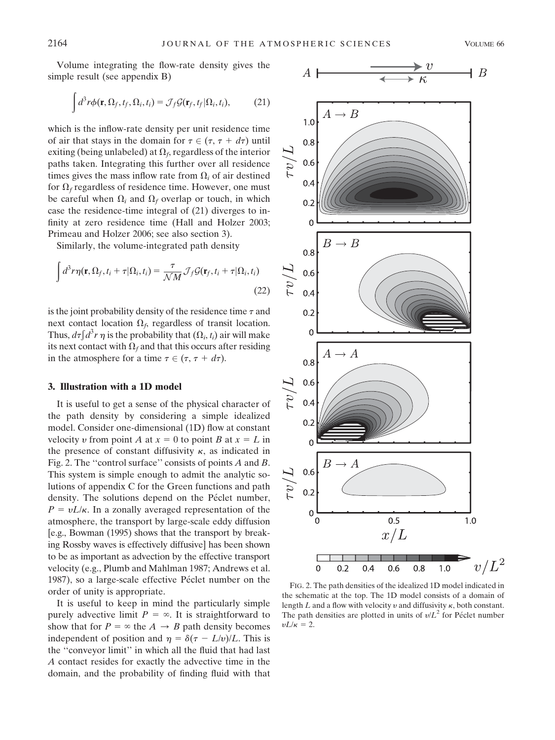Volume integrating the flow-rate density gives the simple result (see appendix B)

$$
\int d^3r \phi(\mathbf{r}, \Omega_f, t_f, \Omega_i, t_i) = \mathcal{J}_f \mathcal{G}(\mathbf{r}_f, t_f | \Omega_i, t_i),
$$
 (21)

which is the inflow-rate density per unit residence time of air that stays in the domain for  $\tau \in (\tau, \tau + d\tau)$  until exiting (being unlabeled) at  $\Omega_f$ , regardless of the interior paths taken. Integrating this further over all residence times gives the mass inflow rate from  $\Omega_i$  of air destined for  $\Omega_f$  regardless of residence time. However, one must be careful when  $\Omega_i$  and  $\Omega_f$  overlap or touch, in which case the residence-time integral of (21) diverges to infinity at zero residence time (Hall and Holzer 2003; Primeau and Holzer 2006; see also section 3).

Similarly, the volume-integrated path density

$$
\int d^3r \eta(\mathbf{r}, \Omega_f, t_i + \tau | \Omega_i, t_i) = \frac{\tau}{\mathcal{N}M} \mathcal{J}_f \mathcal{G}(\mathbf{r}_f, t_i + \tau | \Omega_i, t_i)
$$
\n(22)

is the joint probability density of the residence time  $\tau$  and next contact location  $\Omega_f$ , regardless of transit location. Thus,  $d\tau \int d^3r \eta$  is the probability that  $(\Omega_i, t_i)$  air will make its next contact with  $\Omega_f$  and that this occurs after residing in the atmosphere for a time  $\tau \in (\tau, \tau + d\tau)$ .

#### 3. Illustration with a 1D model

It is useful to get a sense of the physical character of the path density by considering a simple idealized model. Consider one-dimensional (1D) flow at constant velocity v from point A at  $x = 0$  to point B at  $x = L$  in the presence of constant diffusivity  $\kappa$ , as indicated in Fig. 2. The ''control surface'' consists of points A and B. This system is simple enough to admit the analytic solutions of appendix C for the Green functions and path density. The solutions depend on the Péclet number,  $P = vL/\kappa$ . In a zonally averaged representation of the atmosphere, the transport by large-scale eddy diffusion [e.g., Bowman (1995) shows that the transport by breaking Rossby waves is effectively diffusive] has been shown to be as important as advection by the effective transport velocity (e.g., Plumb and Mahlman 1987; Andrews et al. 1987), so a large-scale effective Péclet number on the order of unity is appropriate.

It is useful to keep in mind the particularly simple purely advective limit  $P = \infty$ . It is straightforward to show that for  $P = \infty$  the  $A \rightarrow B$  path density becomes independent of position and  $\eta = \delta(\tau - L/v)/L$ . This is the ''conveyor limit'' in which all the fluid that had last A contact resides for exactly the advective time in the domain, and the probability of finding fluid with that



FIG. 2. The path densities of the idealized 1D model indicated in the schematic at the top. The 1D model consists of a domain of length  $L$  and a flow with velocity  $v$  and diffusivity  $\kappa$ , both constant. The path densities are plotted in units of  $v/L^2$  for Péclet number  $vL/\kappa = 2$ .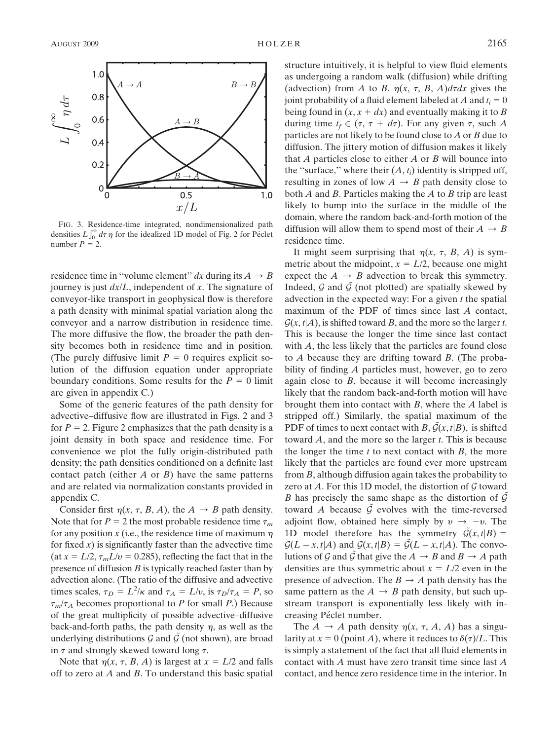

FIG. 3. Residence-time integrated, nondimensionalized path densities  $L \int_0^\infty d\tau \eta$  for the idealized 1D model of Fig. 2 for Péclet number  $P = 2$ .

residence time in "volume element" dx during its  $A \rightarrow B$ journey is just  $dx/L$ , independent of x. The signature of conveyor-like transport in geophysical flow is therefore a path density with minimal spatial variation along the conveyor and a narrow distribution in residence time. The more diffusive the flow, the broader the path density becomes both in residence time and in position. (The purely diffusive limit  $P = 0$  requires explicit solution of the diffusion equation under appropriate boundary conditions. Some results for the  $P = 0$  limit are given in appendix C.)

Some of the generic features of the path density for advective–diffusive flow are illustrated in Figs. 2 and 3 for  $P = 2$ . Figure 2 emphasizes that the path density is a joint density in both space and residence time. For convenience we plot the fully origin-distributed path density; the path densities conditioned on a definite last contact patch (either  $A$  or  $B$ ) have the same patterns and are related via normalization constants provided in appendix C.

Consider first  $\eta(x, \tau, B, A)$ , the  $A \rightarrow B$  path density. Note that for  $P = 2$  the most probable residence time  $\tau_m$ for any position x (i.e., the residence time of maximum  $\eta$ for fixed  $x$ ) is significantly faster than the advective time (at  $x = L/2$ ,  $\tau_m L/v = 0.285$ ), reflecting the fact that in the presence of diffusion  $B$  is typically reached faster than by advection alone. (The ratio of the diffusive and advective times scales,  $\tau_D = L^2/\kappa$  and  $\tau_A = L/v$ , is  $\tau_D/\tau_A = P$ , so  $\tau_m/\tau_A$  becomes proportional to P for small P.) Because of the great multiplicity of possible advective–diffusive back-and-forth paths, the path density  $\eta$ , as well as the underlying distributions  $G$  and  $G$  (not shown), are broad in  $\tau$  and strongly skewed toward long  $\tau$ .

Note that  $\eta(x, \tau, B, A)$  is largest at  $x = L/2$  and falls off to zero at A and B. To understand this basic spatial structure intuitively, it is helpful to view fluid elements as undergoing a random walk (diffusion) while drifting (advection) from A to B.  $\eta(x, \tau, B, A)d\tau dx$  gives the joint probability of a fluid element labeled at A and  $t_i = 0$ being found in  $(x, x + dx)$  and eventually making it to B during time  $t_f \in (\tau, \tau + d\tau)$ . For any given  $\tau$ , such A particles are not likely to be found close to  $A$  or  $B$  due to diffusion. The jittery motion of diffusion makes it likely that  $A$  particles close to either  $A$  or  $B$  will bounce into the "surface," where their  $(A, t_i)$  identity is stripped off, resulting in zones of low  $A \rightarrow B$  path density close to both  $A$  and  $B$ . Particles making the  $A$  to  $B$  trip are least likely to bump into the surface in the middle of the domain, where the random back-and-forth motion of the diffusion will allow them to spend most of their  $A \rightarrow B$ residence time.

It might seem surprising that  $\eta(x, \tau, B, A)$  is symmetric about the midpoint,  $x = L/2$ , because one might expect the  $A \rightarrow B$  advection to break this symmetry. Indeed, G and  $\tilde{\mathcal{G}}$  (not plotted) are spatially skewed by advection in the expected way: For a given  $t$  the spatial maximum of the PDF of times since last A contact,  $\mathcal{G}(x, t | A)$ , is shifted toward B, and the more so the larger t. This is because the longer the time since last contact with A, the less likely that the particles are found close to  $A$  because they are drifting toward  $B$ . (The probability of finding A particles must, however, go to zero again close to  $B$ , because it will become increasingly likely that the random back-and-forth motion will have brought them into contact with B, where the A label is stripped off.) Similarly, the spatial maximum of the PDF of times to next contact with B,  $G(x, t|B)$ , is shifted toward  $A$ , and the more so the larger  $t$ . This is because the longer the time  $t$  to next contact with  $B$ , the more likely that the particles are found ever more upstream from B, although diffusion again takes the probability to zero at A. For this 1D model, the distortion of  $G$  toward B has precisely the same shape as the distortion of  $\tilde{\mathcal{G}}$ toward A because  $\hat{G}$  evolves with the time-reversed adjoint flow, obtained here simply by  $v \rightarrow -v$ . The 1D model therefore has the symmetry  $G(x, t|B) =$  $\mathcal{G}(L - x, t | A)$  and  $\mathcal{G}(x, t | B) = \mathcal{G}(L - x, t | A)$ . The convolutions of G and G that give the  $A \rightarrow B$  and  $B \rightarrow A$  path densities are thus symmetric about  $x = L/2$  even in the presence of advection. The  $B \to A$  path density has the same pattern as the  $A \rightarrow B$  path density, but such upstream transport is exponentially less likely with increasing Péclet number.

The  $A \rightarrow A$  path density  $\eta(x, \tau, A, A)$  has a singularity at  $x = 0$  (point A), where it reduces to  $\delta(\tau)/L$ . This is simply a statement of the fact that all fluid elements in contact with A must have zero transit time since last A contact, and hence zero residence time in the interior. In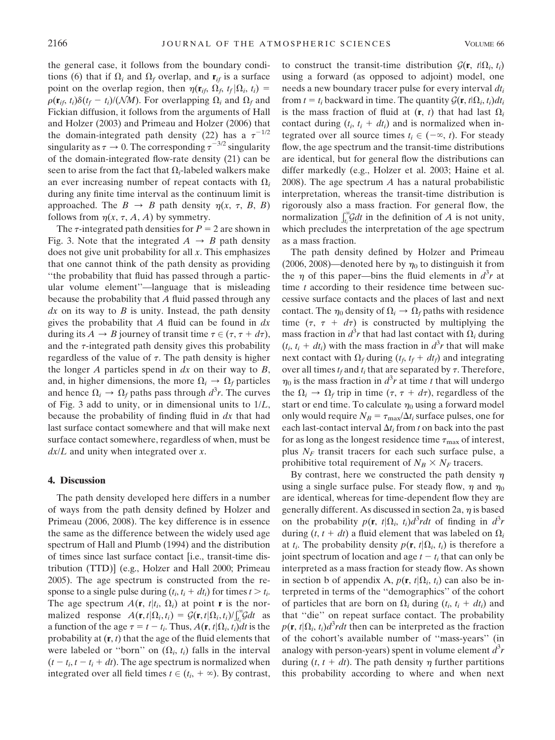the general case, it follows from the boundary conditions (6) that if  $\Omega_i$  and  $\Omega_f$  overlap, and  $\mathbf{r}_{if}$  is a surface point on the overlap region, then  $\eta(\mathbf{r}_{it}, \Omega_f, t_f | \Omega_i, t_i)$  =  $\rho(\mathbf{r}_{it}, t_i)\delta(t_f - t_i)/(NM)$ . For overlapping  $\Omega_i$  and  $\Omega_f$  and Fickian diffusion, it follows from the arguments of Hall and Holzer (2003) and Primeau and Holzer (2006) that the domain-integrated path density (22) has a  $\tau^{-1/2}$ singularity as  $\tau \to 0$ . The corresponding  $\tau^{-3/2}$  singularity of the domain-integrated flow-rate density (21) can be seen to arise from the fact that  $\Omega_i$ -labeled walkers make an ever increasing number of repeat contacts with  $\Omega_i$ during any finite time interval as the continuum limit is approached. The  $B \rightarrow B$  path density  $\eta(x, \tau, B, B)$ follows from  $\eta(x, \tau, A, A)$  by symmetry.

The  $\tau$ -integrated path densities for  $P = 2$  are shown in Fig. 3. Note that the integrated  $A \rightarrow B$  path density does not give unit probability for all  $x$ . This emphasizes that one cannot think of the path density as providing ''the probability that fluid has passed through a particular volume element''—language that is misleading because the probability that A fluid passed through any  $dx$  on its way to  $B$  is unity. Instead, the path density gives the probability that A fluid can be found in  $dx$ during its  $A \rightarrow B$  journey of transit time  $\tau \in (\tau, \tau + d\tau)$ , and the  $\tau$ -integrated path density gives this probability regardless of the value of  $\tau$ . The path density is higher the longer  $A$  particles spend in  $dx$  on their way to  $B$ , and, in higher dimensions, the more  $\Omega_i \rightarrow \Omega_f$  particles and hence  $\Omega_i \to \Omega_f$  paths pass through  $d^3r$ . The curves of Fig. 3 add to unity, or in dimensional units to  $1/L$ , because the probability of finding fluid in dx that had last surface contact somewhere and that will make next surface contact somewhere, regardless of when, must be  $dx/L$  and unity when integrated over x.

#### 4. Discussion

The path density developed here differs in a number of ways from the path density defined by Holzer and Primeau (2006, 2008). The key difference is in essence the same as the difference between the widely used age spectrum of Hall and Plumb (1994) and the distribution of times since last surface contact [i.e., transit-time distribution (TTD)] (e.g., Holzer and Hall 2000; Primeau 2005). The age spectrum is constructed from the response to a single pulse during  $(t_i, t_i + dt_i)$  for times  $t > t_i$ . The age spectrum  $A(\mathbf{r}, t|t_i, \Omega_i)$  at point **r** is the normalized response  $A(\mathbf{r}, t | \Omega_i, t_i) = \mathcal{G}(\mathbf{r}, t | \Omega_i, t_i) / \int_{t_i}^{\infty} \mathcal{G} dt$  as a function of the age  $\tau = t - t_i$ . Thus,  $A(\mathbf{r}, t | \Omega_i, t_i)dt$  is the probability at  $(r, t)$  that the age of the fluid elements that were labeled or "born" on  $(\Omega_i, t_i)$  falls in the interval  $(t - t_i, t - t_i + dt)$ . The age spectrum is normalized when integrated over all field times  $t \in (t_i, +\infty)$ . By contrast, to construct the transit-time distribution  $\mathcal{G}(\mathbf{r}, t|\Omega_i, t_i)$ using a forward (as opposed to adjoint) model, one needs a new boundary tracer pulse for every interval  $dt_i$ from  $t = t_i$  backward in time. The quantity  $\mathcal{G}(\mathbf{r}, t|\Omega_i, t_i)dt_i$ is the mass fraction of fluid at  $(\mathbf{r}, t)$  that had last  $\Omega_i$ contact during  $(t_i, t_i + dt_i)$  and is normalized when integrated over all source times  $t_i \in (-\infty, t)$ . For steady flow, the age spectrum and the transit-time distributions are identical, but for general flow the distributions can differ markedly (e.g., Holzer et al. 2003; Haine et al. 2008). The age spectrum  $A$  has a natural probabilistic interpretation, whereas the transit-time distribution is rigorously also a mass fraction. For general flow, the normalization  $\int_{t_i}^{\infty} G dt$  in the definition of A is not unity, which precludes the interpretation of the age spectrum as a mass fraction.

The path density defined by Holzer and Primeau (2006, 2008)—denoted here by  $\eta_0$  to distinguish it from the  $\eta$  of this paper—bins the fluid elements in  $d^3r$  at time  $t$  according to their residence time between successive surface contacts and the places of last and next contact. The  $\eta_0$  density of  $\Omega_i \to \Omega_f$  paths with residence time  $(\tau, \tau + d\tau)$  is constructed by multiplying the mass fraction in  $d^3r$  that had last contact with  $\Omega_i$  during  $(t_i, t_i + dt_i)$  with the mass fraction in  $d^3r$  that will make next contact with  $\Omega_f$  during  $(t_f, t_f + dt_f)$  and integrating over all times  $t_f$  and  $t_i$  that are separated by  $\tau$ . Therefore,  $\eta_0$  is the mass fraction in  $d^3r$  at time t that will undergo the  $\Omega_i \rightarrow \Omega_f$  trip in time  $(\tau, \tau + d\tau)$ , regardless of the start or end time. To calculate  $\eta_0$  using a forward model only would require  $N_B = \tau_{\text{max}}/\Delta t_i$  surface pulses, one for each last-contact interval  $\Delta t_i$  from t on back into the past for as long as the longest residence time  $\tau_{\text{max}}$  of interest, plus  $N_F$  transit tracers for each such surface pulse, a prohibitive total requirement of  $N_B \times N_F$  tracers.

By contrast, here we constructed the path density  $\eta$ using a single surface pulse. For steady flow,  $\eta$  and  $\eta_0$ are identical, whereas for time-dependent flow they are generally different. As discussed in section 2a,  $\eta$  is based on the probability  $p(\mathbf{r}, t | \Omega_i, t_i) d^3 r dt$  of finding in  $d^3 r$ during  $(t, t + dt)$  a fluid element that was labeled on  $\Omega_i$ at  $t_i$ . The probability density  $p(\mathbf{r}, t | \Omega_i, t_i)$  is therefore a joint spectrum of location and age  $t - t_i$  that can only be interpreted as a mass fraction for steady flow. As shown in section b of appendix A,  $p(\mathbf{r}, t | \Omega_i, t_i)$  can also be interpreted in terms of the ''demographics'' of the cohort of particles that are born on  $\Omega_i$  during  $(t_i, t_i + dt_i)$  and that ''die'' on repeat surface contact. The probability  $p(\mathbf{r}, t | \Omega_i, t_i) d^3 r dt$  then can be interpreted as the fraction of the cohort's available number of ''mass-years'' (in analogy with person-years) spent in volume element  $d^3r$ during  $(t, t + dt)$ . The path density  $\eta$  further partitions this probability according to where and when next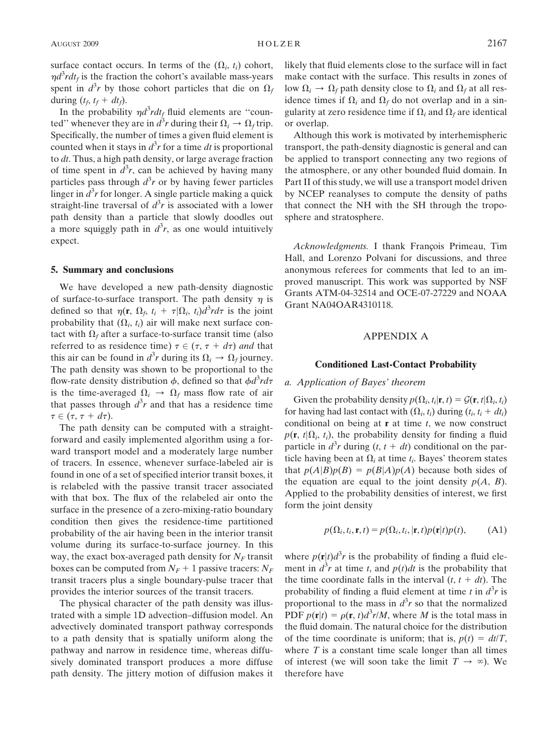surface contact occurs. In terms of the  $(\Omega_i, t_i)$  cohort,  $\eta d^3 r dt_f$  is the fraction the cohort's available mass-years spent in  $d^3r$  by those cohort particles that die on  $\Omega_f$ during  $(t_f, t_f + dt_f)$ .

In the probability  $\eta d^3 r dt_f$  fluid elements are "counted'' whenever they are in  $d^3r$  during their  $\Omega_i \to \Omega_f$  trip. Specifically, the number of times a given fluid element is counted when it stays in  $d^3r$  for a time dt is proportional to  $dt$ . Thus, a high path density, or large average fraction of time spent in  $d^3r$ , can be achieved by having many particles pass through  $d^3r$  or by having fewer particles linger in  $d^3r$  for longer. A single particle making a quick straight-line traversal of  $d^3r$  is associated with a lower path density than a particle that slowly doodles out a more squiggly path in  $d^3r$ , as one would intuitively expect.

## 5. Summary and conclusions

We have developed a new path-density diagnostic of surface-to-surface transport. The path density  $\eta$  is defined so that  $\eta(\mathbf{r}, \Omega_f, t_i + \tau | \Omega_i, t_i) d^3 r d\tau$  is the joint probability that  $(\Omega_i, t_i)$  air will make next surface contact with  $\Omega_f$  after a surface-to-surface transit time (also referred to as residence time)  $\tau \in (\tau, \tau + d\tau)$  and that this air can be found in  $d^3r$  during its  $\Omega_i \to \Omega_f$  journey. The path density was shown to be proportional to the flow-rate density distribution  $\phi$ , defined so that  $\phi d^3 r d\tau$ is the time-averaged  $\Omega_i \rightarrow \Omega_f$  mass flow rate of air that passes through  $d^3r$  and that has a residence time  $\tau \in (\tau, \tau + d\tau).$ 

The path density can be computed with a straightforward and easily implemented algorithm using a forward transport model and a moderately large number of tracers. In essence, whenever surface-labeled air is found in one of a set of specified interior transit boxes, it is relabeled with the passive transit tracer associated with that box. The flux of the relabeled air onto the surface in the presence of a zero-mixing-ratio boundary condition then gives the residence-time partitioned probability of the air having been in the interior transit volume during its surface-to-surface journey. In this way, the exact box-averaged path density for  $N_F$  transit boxes can be computed from  $N_F + 1$  passive tracers:  $N_F$ transit tracers plus a single boundary-pulse tracer that provides the interior sources of the transit tracers.

The physical character of the path density was illustrated with a simple 1D advection–diffusion model. An advectively dominated transport pathway corresponds to a path density that is spatially uniform along the pathway and narrow in residence time, whereas diffusively dominated transport produces a more diffuse path density. The jittery motion of diffusion makes it likely that fluid elements close to the surface will in fact make contact with the surface. This results in zones of low  $\Omega_i \to \Omega_f$  path density close to  $\Omega_i$  and  $\Omega_f$  at all residence times if  $\Omega_i$  and  $\Omega_f$  do not overlap and in a singularity at zero residence time if  $\Omega_i$  and  $\Omega_f$  are identical or overlap.

Although this work is motivated by interhemispheric transport, the path-density diagnostic is general and can be applied to transport connecting any two regions of the atmosphere, or any other bounded fluid domain. In Part II of this study, we will use a transport model driven by NCEP reanalyses to compute the density of paths that connect the NH with the SH through the troposphere and stratosphere.

Acknowledgments. I thank François Primeau, Tim Hall, and Lorenzo Polvani for discussions, and three anonymous referees for comments that led to an improved manuscript. This work was supported by NSF Grants ATM-04-32514 and OCE-07-27229 and NOAA Grant NA04OAR4310118.

### APPENDIX A

#### Conditioned Last-Contact Probability

### a. Application of Bayes' theorem

Given the probability density  $p(\Omega_i, t_i | \mathbf{r}, t) = \mathcal{G}(\mathbf{r}, t | \Omega_i, t_i)$ for having had last contact with  $(\Omega_i, t_i)$  during  $(t_i, t_i + dt_i)$ conditional on being at  $\bf{r}$  at time t, we now construct  $p(\mathbf{r}, t | \Omega_i, t_i)$ , the probability density for finding a fluid particle in  $d^3r$  during  $(t, t + dt)$  conditional on the particle having been at  $\Omega_i$  at time  $t_i$ . Bayes' theorem states that  $p(A|B)p(B) = p(B|A)p(A)$  because both sides of the equation are equal to the joint density  $p(A, B)$ . Applied to the probability densities of interest, we first form the joint density

$$
p(\Omega_i, t_i, \mathbf{r}, t) = p(\Omega_i, t_i, |\mathbf{r}, t)p(\mathbf{r}|t)p(t),
$$
 (A1)

where  $p(\mathbf{r}|t) d^3 r$  is the probability of finding a fluid element in  $d^3r$  at time t, and  $p(t)dt$  is the probability that the time coordinate falls in the interval  $(t, t + dt)$ . The probability of finding a fluid element at time t in  $d^3r$  is proportional to the mass in  $d^3r$  so that the normalized PDF  $p(\mathbf{r}|t) = \rho(\mathbf{r}, t)d^3r/M$ , where M is the total mass in the fluid domain. The natural choice for the distribution of the time coordinate is uniform; that is,  $p(t) = dt/T$ , where  $T$  is a constant time scale longer than all times of interest (we will soon take the limit  $T \to \infty$ ). We therefore have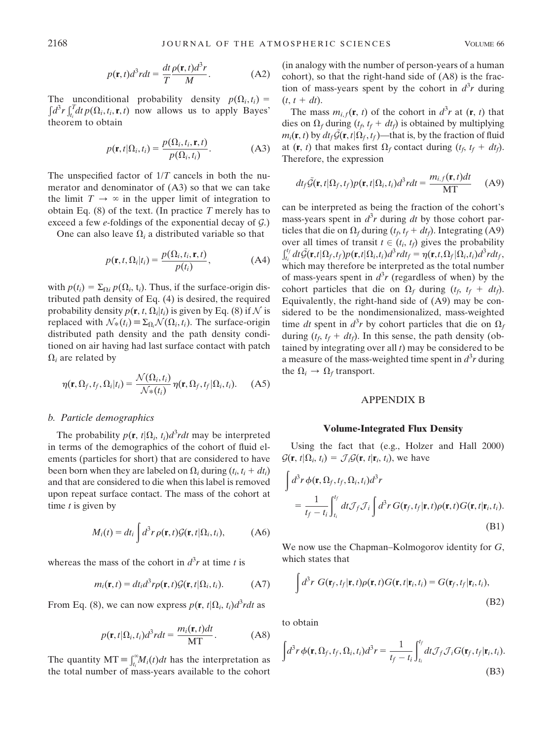$$
p(\mathbf{r},t)d^3rdt = \frac{dt}{T}\frac{\rho(\mathbf{r},t)d^3r}{M}.
$$
 (A2)

The unconditional probability density  $p(\Omega_i, t_i) =$  $d^3r\int_t^T$  $t_i^d dt p(\Omega_i, t_i, \mathbf{r}, t)$  now allows us to apply Bayes' theorem to obtain

$$
p(\mathbf{r}, t | \Omega_i, t_i) = \frac{p(\Omega_i, t_i, \mathbf{r}, t)}{p(\Omega_i, t_i)}.
$$
 (A3)

The unspecified factor of  $1/T$  cancels in both the numerator and denominator of (A3) so that we can take the limit  $T \rightarrow \infty$  in the upper limit of integration to obtain Eq.  $(8)$  of the text. (In practice T merely has to exceed a few  $e$ -foldings of the exponential decay of  $\mathcal{G}$ .)

One can also leave  $\Omega_i$  a distributed variable so that

$$
p(\mathbf{r}, t, \Omega_i | t_i) = \frac{p(\Omega_i, t_i, \mathbf{r}, t)}{p(t_i)},
$$
 (A4)

with  $p(t_i) = \sum_{\Omega_i} p(\Omega_i, t_i)$ . Thus, if the surface-origin distributed path density of Eq. (4) is desired, the required probability density  $p(\mathbf{r}, t, \Omega_i | t_i)$  is given by Eq. (8) if N is replaced with  $\mathcal{N}_*(t_i) \equiv \Sigma_{\Omega_i} \mathcal{N}(\Omega_i, t_i)$ . The surface-origin distributed path density and the path density conditioned on air having had last surface contact with patch  $\Omega_i$  are related by

$$
\eta(\mathbf{r}, \Omega_f, t_f, \Omega_i | t_i) = \frac{\mathcal{N}(\Omega_i, t_i)}{\mathcal{N}_*(t_i)} \eta(\mathbf{r}, \Omega_f, t_f | \Omega_i, t_i).
$$
 (A5)

#### b. Particle demographics

The probability  $p(\mathbf{r}, t | \Omega_i, t_i) d^3 r dt$  may be interpreted in terms of the demographics of the cohort of fluid elements (particles for short) that are considered to have been born when they are labeled on  $\Omega_i$  during  $(t_i, t_i + dt_i)$ and that are considered to die when this label is removed upon repeat surface contact. The mass of the cohort at time  $t$  is given by

$$
M_i(t) = dt_i \int d^3r \, \rho(\mathbf{r}, t) \mathcal{G}(\mathbf{r}, t | \Omega_i, t_i), \tag{A6}
$$

whereas the mass of the cohort in  $d^3r$  at time t is

$$
m_i(\mathbf{r},t) = dt_i d^3 r \rho(\mathbf{r},t) \mathcal{G}(\mathbf{r},t | \Omega_i, t_i).
$$
 (A7)

From Eq. (8), we can now express  $p(\mathbf{r}, t | \Omega_i, t_i) d^3 r dt$  as

$$
p(\mathbf{r}, t | \Omega_i, t_i) d^3 r dt = \frac{m_i(\mathbf{r}, t) dt}{\mathbf{M} \mathbf{T}}.
$$
 (A8)

The quantity  $MT \equiv \int_{t_i}^{\infty} M_i(t) dt$  has the interpretation as the total number of mass-years available to the cohort

(in analogy with the number of person-years of a human cohort), so that the right-hand side of (A8) is the fraction of mass-years spent by the cohort in  $d^3r$  during  $(t, t + dt)$ .

The mass  $m_{i,f}(\mathbf{r}, t)$  of the cohort in  $d^3r$  at  $(\mathbf{r}, t)$  that dies on  $\Omega_f$  during  $(t_f, t_f + dt_f)$  is obtained by multiplying  $m_i(\mathbf{r}, t)$  by  $dt_f \mathcal{G}(\mathbf{r}, t|\Omega_f, t_f)$ —that is, by the fraction of fluid at  $(\mathbf{r}, t)$  that makes first  $\Omega_f$  contact during  $(t_f, t_f + dt_f)$ . Therefore, the expression

$$
dt_f \tilde{\mathcal{G}}(\mathbf{r}, t | \Omega_f, t_f) p(\mathbf{r}, t | \Omega_i, t_i) d^3 r dt = \frac{m_{i,f}(\mathbf{r}, t) dt}{MT}
$$
 (A9)

can be interpreted as being the fraction of the cohort's mass-years spent in  $d^3r$  during dt by those cohort particles that die on  $\Omega_f$  during  $(t_f, t_f + dt_f)$ . Integrating (A9) over all times of transit  $t \in (t_i, t_f)$  gives the probability  $\int_{t_i}^{t_f} dt \tilde{\mathcal{G}}(\mathbf{r},t|\Omega_f,t_f)p(\mathbf{r},t|\Omega_i,t_i)d^3rdt_f = \eta(\mathbf{r},t,\Omega_f|\Omega_i,t_i)d^3rdt_f,$ which may therefore be interpreted as the total number of mass-years spent in  $d^3r$  (regardless of when) by the cohort particles that die on  $\Omega_f$  during  $(t_f, t_f + dt_f)$ . Equivalently, the right-hand side of (A9) may be considered to be the nondimensionalized, mass-weighted time dt spent in  $d^3r$  by cohort particles that die on  $\Omega_f$ during  $(t_f, t_f + dt_f)$ . In this sense, the path density (obtained by integrating over all  $t$ ) may be considered to be a measure of the mass-weighted time spent in  $d^3r$  during the  $\Omega_i \rightarrow \Omega_f$  transport.

#### APPENDIX B

#### Volume-Integrated Flux Density

Using the fact that (e.g., Holzer and Hall 2000)  $\mathcal{G}(\mathbf{r}, t | \Omega_i, t_i) = \mathcal{J}_i \mathcal{G}(\mathbf{r}, t | \mathbf{r}_i, t_i)$ , we have

$$
\int d^3r \, \phi(\mathbf{r}, \Omega_f, t_f, \Omega_i, t_i) d^3r
$$
\n
$$
= \frac{1}{t_f - t_i} \int_{t_i}^{t_f} dt \mathcal{J}_f \mathcal{J}_i \int d^3r \, G(\mathbf{r}_f, t_f | \mathbf{r}, t) \rho(\mathbf{r}, t) G(\mathbf{r}, t | \mathbf{r}_i, t_i).
$$
\n(B1)

We now use the Chapman–Kolmogorov identity for G, which states that

$$
\int d^3r \ G(\mathbf{r}_f, t_f | \mathbf{r}, t) \rho(\mathbf{r}, t) G(\mathbf{r}, t | \mathbf{r}_i, t_i) = G(\mathbf{r}_f, t_f | \mathbf{r}_i, t_i),
$$
\n(B2)

to obtain

$$
\int d^3r \, \phi(\mathbf{r}, \Omega_f, t_f, \Omega_i, t_i) d^3r = \frac{1}{t_f - t_i} \int_{t_i}^{t_f} dt \mathcal{J}_f \mathcal{J}_i G(\mathbf{r}_f, t_f | \mathbf{r}_i, t_i).
$$
\n(B3)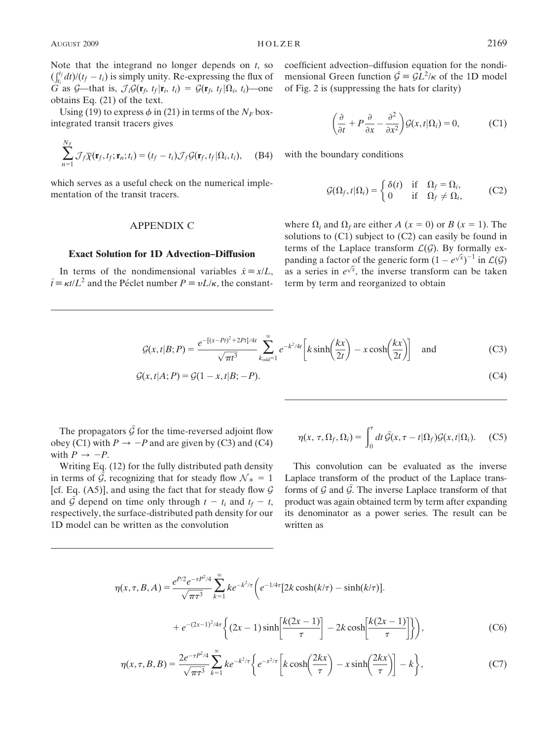Note that the integrand no longer depends on  $t$ , so  $\int_{t_1}^{t_2} dt/(t_f - t_i)$  is simply unity. Re-expressing the flux of G as G—that is,  $\mathcal{J}_i \mathcal{G}(\mathbf{r}_f, t_f | \mathbf{r}_i, t_i) = \mathcal{G}(\mathbf{r}_f, t_f | \Omega_i, t_i)$ —one obtains Eq. (21) of the text.

Using (19) to express  $\phi$  in (21) in terms of the  $N_F$  boxintegrated transit tracers gives

$$
\sum_{n=1}^{N_F} \mathcal{J}_f \overline{\chi}(\mathbf{r}_f, t_f; \mathbf{r}_n; t_i) = (t_f - t_i) \mathcal{J}_f \mathcal{G}(\mathbf{r}_f, t_f | \Omega_i, t_i), \quad \text{(B4)}
$$

which serves as a useful check on the numerical implementation of the transit tracers.

## APPENDIX C

#### Exact Solution for 1D Advection–Diffusion

In terms of the nondimensional variables  $\hat{x} \equiv x/L$ ,  $\hat{t} = \kappa t/L^2$  and the Péclet number  $P = vL/\kappa$ , the constantcoefficient advection–diffusion equation for the nondimensional Green function  $\hat{G} = \hat{GL}^2/\kappa$  of the 1D model of Fig. 2 is (suppressing the hats for clarity)

$$
\left(\frac{\partial}{\partial t} + P\frac{\partial}{\partial x} - \frac{\partial^2}{\partial x^2}\right) \mathcal{G}(x, t | \Omega_i) = 0, \tag{C1}
$$

with the boundary conditions

$$
\mathcal{G}(\Omega_f, t | \Omega_i) = \begin{cases} \delta(t) & \text{if } \Omega_f = \Omega_i, \\ 0 & \text{if } \Omega_f \neq \Omega_i, \end{cases} \tag{C2}
$$

where  $\Omega_i$  and  $\Omega_f$  are either A (x = 0) or B (x = 1). The solutions to  $(C1)$  subject to  $(C2)$  can easily be found in terms of the Laplace transform  $\mathcal{L}(\mathcal{G})$ . By formally expanding a factor of the generic form  $(1 - e^{\sqrt{s}})^{-1}$  in  $\mathcal{L}(G)$ panding a factor of the generic form  $(1 + e^x)$  in  $\mathcal{L}(g)$ <br>as a series in  $e^{\sqrt{s}}$ , the inverse transform can be taken term by term and reorganized to obtain

$$
\mathcal{G}(x,t|B;P) = \frac{e^{-[(x-Pt)^2 + 2Pt]/4t}}{\sqrt{\pi t^3}} \sum_{k_{\text{odd}}=1}^{\infty} e^{-k^2/4t} \left[ k \sinh\left(\frac{kx}{2t}\right) - x \cosh\left(\frac{kx}{2t}\right) \right] \quad \text{and} \tag{C3}
$$

$$
\mathcal{G}(x,t|A;P) = \mathcal{G}(1-x,t|B;-P). \tag{C4}
$$

The propagators  $\hat{G}$  for the time-reversed adjoint flow obey (C1) with  $P \rightarrow -P$  and are given by (C3) and (C4) with  $P \rightarrow -P$ .

Writing Eq. (12) for the fully distributed path density in terms of  $\mathcal{G}$ , recognizing that for steady flow  $\mathcal{N}_* = 1$ [cf. Eq.  $(A5)$ ], and using the fact that for steady flow  $G$ and  $\tilde{G}$  depend on time only through  $t - t_i$  and  $t_f - t$ , respectively, the surface-distributed path density for our 1D model can be written as the convolution

$$
\eta(x, \tau, \Omega_f, \Omega_i) = \int_0^{\tau} dt \, \tilde{\mathcal{G}}(x, \tau - t | \Omega_f) \mathcal{G}(x, t | \Omega_i). \quad (C5)
$$

This convolution can be evaluated as the inverse Laplace transform of the product of the Laplace transforms of  $G$  and  $G$ . The inverse Laplace transform of that product was again obtained term by term after expanding its denominator as a power series. The result can be written as

$$
\eta(x,\tau,B,A) = \frac{e^{P/2}e^{-\tau P^2/4}}{\sqrt{\pi \tau^3}} \sum_{k=1}^{\infty} ke^{-k^2/\tau} \left( e^{-1/4\tau} [2k \cosh(k/\tau) - \sinh(k/\tau)]. + e^{-(2x-1)^2/4\tau} \left\{ (2x-1) \sinh\left[\frac{k(2x-1)}{\tau} \right] - 2k \cosh\left[\frac{k(2x-1)}{\tau} \right] \right\} \right),
$$
 (C6)

$$
\eta(x,\tau,B,B) = \frac{2e^{-\tau P^2/4}}{\sqrt{\pi \tau^3}} \sum_{k=1}^{\infty} k e^{-k^2/\tau} \left\{ e^{-x^2/\tau} \left[ k \cosh\left(\frac{2kx}{\tau}\right) - x \sinh\left(\frac{2kx}{\tau}\right) \right] - k \right\},\tag{C7}
$$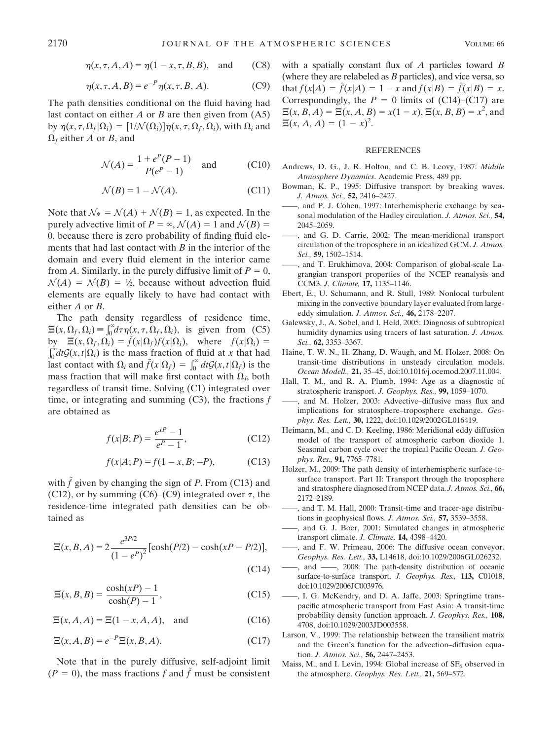$$
\eta(x, \tau, A, A) = \eta(1 - x, \tau, B, B), \text{ and } (C8)
$$

$$
\eta(x, \tau, A, B) = e^{-P} \eta(x, \tau, B, A).
$$
 (C9)

The path densities conditional on the fluid having had last contact on either  $A$  or  $B$  are then given from  $(A5)$ by  $\eta(x, \tau, \Omega_f | \Omega_i) = [1/\mathcal{N}(\Omega_i)]\eta(x, \tau, \Omega_f, \Omega_i)$ , with  $\Omega_i$  and  $\Omega_f$  either A or B, and

$$
\mathcal{N}(A) = \frac{1 + e^{P}(P - 1)}{P(e^{P} - 1)} \quad \text{and} \tag{C10}
$$

$$
\mathcal{N}(B) = 1 - \mathcal{N}(A). \tag{C11}
$$

Note that  $\mathcal{N}_* = \mathcal{N}(A) + \mathcal{N}(B) = 1$ , as expected. In the purely advective limit of  $P = \infty$ ,  $\mathcal{N}(A) = 1$  and  $\mathcal{N}(B) =$ 0, because there is zero probability of finding fluid elements that had last contact with  $B$  in the interior of the domain and every fluid element in the interior came from A. Similarly, in the purely diffusive limit of  $P = 0$ ,  $\mathcal{N}(A) = \mathcal{N}(B) = \frac{1}{2}$ , because without advection fluid elements are equally likely to have had contact with either A or B.

The path density regardless of residence time,  $\Xi(x, \Omega_f, \Omega_i) \equiv \int_0^{\infty} d\tau \eta(x, \tau, \Omega_f, \Omega_i)$ , is given from (C5) by  $\Xi(x, \Omega_f, \Omega_i) = f(x|\Omega_f)f(x|\Omega_i)$ , where  $f(x|\Omega_i) =$  $\int_0^{\infty} dt \mathcal{G}(x, t | \Omega_i)$  is the mass fraction of fluid at x that had last contact with  $\Omega_i$  and  $\tilde{f}(x|\Omega_f) = \int_0^\infty dt G(x, t|\Omega_f)$  is the mass fraction that will make first contact with  $\Omega_f$ , both regardless of transit time. Solving (C1) integrated over time, or integrating and summing  $(C3)$ , the fractions f are obtained as

$$
f(x|B;P) = \frac{e^{xP} - 1}{e^P - 1},
$$
 (C12)

$$
f(x|A;P) = f(1-x,B;-P),
$$
 (C13)

with  $\tilde{f}$  given by changing the sign of P. From (C13) and (C12), or by summing (C6)–(C9) integrated over  $\tau$ , the residence-time integrated path densities can be obtained as

$$
\Xi(x, B, A) = 2 \frac{e^{3P/2}}{(1 - e^P)^2} [\cosh(P/2) - \cosh(xP - P/2)],
$$
\n(C14)

$$
\Xi(x, B, B) = \frac{\cosh(xP) - 1}{\cosh(P) - 1},\tag{C15}
$$

 $\Xi(x, A, A) = \Xi(1 - x, A, A)$ , and (C16)

$$
\Xi(x, A, B) = e^{-P} \Xi(x, B, A). \tag{C17}
$$

Note that in the purely diffusive, self-adjoint limit  $(P = 0)$ , the mass fractions f and f must be consistent with a spatially constant flux of  $A$  particles toward  $B$ (where they are relabeled as  $B$  particles), and vice versa, so that  $f(x|A) = \tilde{f}(x|A) = 1 - x$  and  $f(x|B) = \tilde{f}(x|B) = x$ . Correspondingly, the  $P = 0$  limits of (C14)–(C17) are  $\Xi(x, B, A) = \Xi(x, A, B) = x(1 - x), \Xi(x, B, B) = x^2$ , and  $\Xi(x, A, A) = (1 - x)^2$ .

#### **REFERENCES**

- Andrews, D. G., J. R. Holton, and C. B. Leovy, 1987: Middle Atmosphere Dynamics. Academic Press, 489 pp.
- Bowman, K. P., 1995: Diffusive transport by breaking waves. J. Atmos. Sci., 52, 2416–2427.
- -, and P. J. Cohen, 1997: Interhemispheric exchange by seasonal modulation of the Hadley circulation. J. Atmos. Sci., 54, 2045–2059.
- and G. D. Carrie, 2002: The mean-meridional transport circulation of the troposphere in an idealized GCM. J. Atmos. Sci., 59, 1502–1514.
- ——, and T. Erukhimova, 2004: Comparison of global-scale Lagrangian transport properties of the NCEP reanalysis and CCM3. J. Climate, 17, 1135–1146.
- Ebert, E., U. Schumann, and R. Stull, 1989: Nonlocal turbulent mixing in the convective boundary layer evaluated from largeeddy simulation. J. Atmos. Sci., 46, 2178–2207.
- Galewsky, J., A. Sobel, and I. Held, 2005: Diagnosis of subtropical humidity dynamics using tracers of last saturation. *J. Atmos.* Sci., 62, 3353–3367.
- Haine, T. W. N., H. Zhang, D. Waugh, and M. Holzer, 2008: On transit-time distributions in unsteady circulation models. Ocean Modell., 21, 35–45, doi:10.1016/j.ocemod.2007.11.004.
- Hall, T. M., and R. A. Plumb, 1994: Age as a diagnostic of stratospheric transport. J. Geophys. Res., 99, 1059–1070.
- ——, and M. Holzer, 2003: Advective–diffusive mass flux and implications for stratosphere–troposphere exchange. Geophys. Res. Lett., 30, 1222, doi:10.1029/2002GL016419.
- Heimann, M., and C. D. Keeling, 1986: Meridional eddy diffusion model of the transport of atmospheric carbon dioxide 1. Seasonal carbon cycle over the tropical Pacific Ocean. J. Geophys. Res., 91, 7765–7781.
- Holzer, M., 2009: The path density of interhemispheric surface-tosurface transport. Part II: Transport through the troposphere and stratosphere diagnosed from NCEP data. J. Atmos. Sci., 66, 2172–2189.
- ——, and T. M. Hall, 2000: Transit-time and tracer-age distributions in geophysical flows. J. Atmos. Sci., 57, 3539–3558.
- ——, and G. J. Boer, 2001: Simulated changes in atmospheric transport climate. J. Climate, 14, 4398–4420.
- ——, and F. W. Primeau, 2006: The diffusive ocean conveyor. Geophys. Res. Lett., 33, L14618, doi:10.1029/2006GL026232.
- ——, and ——, 2008: The path-density distribution of oceanic surface-to-surface transport. J. Geophys. Res., 113, C01018, doi:10.1029/2006JC003976.
- ——, I. G. McKendry, and D. A. Jaffe, 2003: Springtime transpacific atmospheric transport from East Asia: A transit-time probability density function approach. J. Geophys. Res., 108, 4708, doi:10.1029/2003JD003558.
- Larson, V., 1999: The relationship between the transilient matrix and the Green's function for the advection–diffusion equation. J. Atmos. Sci., 56, 2447-2453.
- Maiss, M., and I. Levin, 1994: Global increase of  $SF_6$  observed in the atmosphere. Geophys. Res. Lett., 21, 569-572.